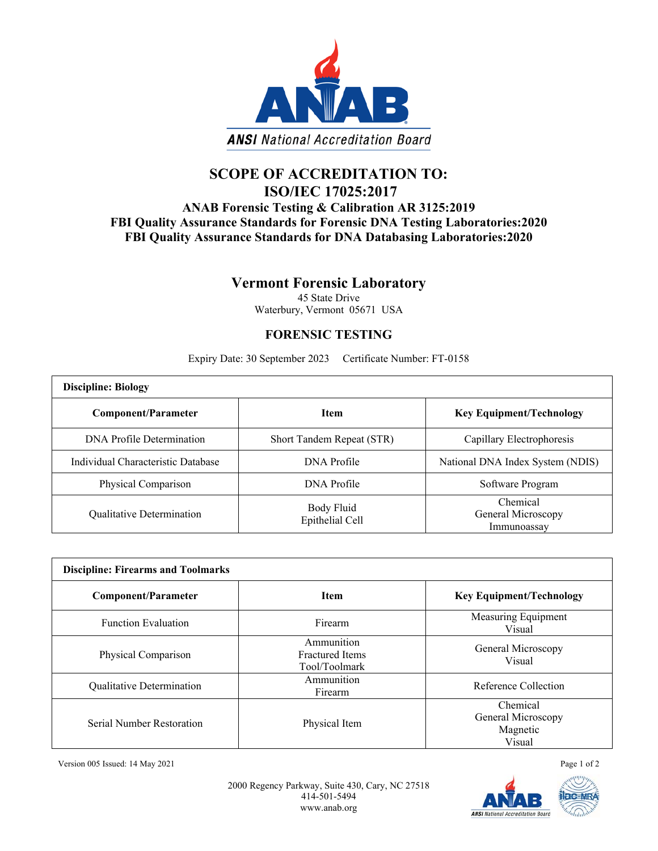

## **SCOPE OF ACCREDITATION TO: ISO/IEC 17025:2017**

## **ANAB Forensic Testing & Calibration AR 3125:2019 FBI Quality Assurance Standards for Forensic DNA Testing Laboratories:2020 FBI Quality Assurance Standards for DNA Databasing Laboratories:2020**

## **Vermont Forensic Laboratory**

45 State Drive Waterbury, Vermont 05671 USA

## **FORENSIC TESTING**

Expiry Date: 30 September 2023 Certificate Number: FT-0158

| <b>Discipline: Biology</b>         |                               |                                               |  |  |
|------------------------------------|-------------------------------|-----------------------------------------------|--|--|
| Component/Parameter                | <b>Item</b>                   | <b>Key Equipment/Technology</b>               |  |  |
| DNA Profile Determination          | Short Tandem Repeat (STR)     | Capillary Electrophoresis                     |  |  |
| Individual Characteristic Database | DNA Profile                   | National DNA Index System (NDIS)              |  |  |
| Physical Comparison                | DNA Profile                   | Software Program                              |  |  |
| Qualitative Determination          | Body Fluid<br>Epithelial Cell | Chemical<br>General Microscopy<br>Immunoassav |  |  |

| <b>Discipline: Firearms and Toolmarks</b> |                                                       |                                                      |  |  |
|-------------------------------------------|-------------------------------------------------------|------------------------------------------------------|--|--|
| <b>Component/Parameter</b>                | <b>Item</b>                                           | <b>Key Equipment/Technology</b>                      |  |  |
| <b>Function Evaluation</b>                | Firearm                                               | Measuring Equipment<br>Visual                        |  |  |
| Physical Comparison                       | Ammunition<br><b>Fractured</b> Items<br>Tool/Toolmark | General Microscopy<br>Visual                         |  |  |
| Qualitative Determination                 | Ammunition<br>Firearm                                 | Reference Collection                                 |  |  |
| Serial Number Restoration                 | Physical Item                                         | Chemical<br>General Microscopy<br>Magnetic<br>Visual |  |  |

Version 005 Issued: 14 May 2021 Page 1 of 2

2000 Regency Parkway, Suite 430, Cary, NC 27518 414-501-5494 www.anab.org